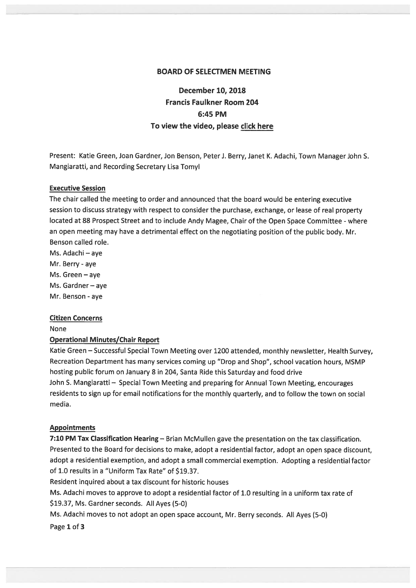## BOARD OF SELECTMEN MEETING

# December 10, 2018 Francis Faulkner Room 204 6:45 PM To view the video, please click here

Present: Katie Green, Joan Gardner, Jon Benson, Peter J. Berry, Janet K. Adachi, Town Manager John S. Mangiaratti, and Recording Secretary Lisa Tomyl

## Executive Session

The chair called the meeting to order and announced that the board would be entering executive session to discuss strategy with respec<sup>t</sup> to consider the purchase, exchange, or lease of real property located at <sup>88</sup> Prospect Street and to include Andy Magee, Chair of the Open Space Committee -where an open meeting may have <sup>a</sup> detrimental effect on the negotiating position of the public body. Mr. Benson called role.

Ms. Adachi – aye Mr. Berry -aye Ms. Green — aye Ms. Gardner—aye Mr. Benson - aye

#### Citizen Concerns

None

## Operational Minutes/Chair Report

Katie Green — Successful Special Town Meeting over <sup>1200</sup> attended, monthly newsletter, Health Survey, Recreation Department has many services coming up "Drop and Shop", school vacation hours, MSMP hosting public forum on January 8 in 204, Santa Ride this Saturday and food drive John S. Mangiaratti — Special Town Meeting and preparing for Annual Town Meeting, encourages residents to sign up for email notifications for the monthly quarterly, and to follow the town on social media.

#### Appointments

7:10 PM Tax Classification Hearing - Brian McMullen gave the presentation on the tax classification. Presented to the Board for decisions to make, adopt <sup>a</sup> residential factor, adopt an open space discount, adopt <sup>a</sup> residential exemption, and adopt <sup>a</sup> small commercial exemption. Adopting <sup>a</sup> residential factor of 1.0 results in <sup>a</sup> "Uniform Tax Rate" of \$19.37.

Resident inquired about <sup>a</sup> tax discount for historic houses

Ms. Adachi moves to approve to adopt <sup>a</sup> residential factor of 1.0 resulting in <sup>a</sup> uniform tax rate of \$19.37, Ms. Gardner seconds. All Ayes (5-0)

Ms. Adachi moves to not adopt an open space account, Mr. Berry seconds. All Ayes (5-0)

Page 1 of 3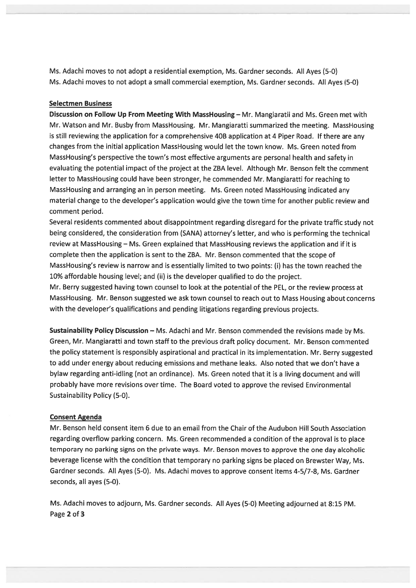Ms. Adachi moves to not adopt <sup>a</sup> residential exemption, Ms. Gardner seconds. All Ayes (5-0) Ms. Adachi moves to not adopt <sup>a</sup> small commercial exemption, Ms. Gardner seconds. All Ayes (5-0)

## Selectmen Business

Discussion on Follow Up From Meeting With MassHousing — Mr. Mangiaratii and Ms. Green met with Mr. Watson and Mr. Busby from MassHousing. Mr. Mangiaratti summarized the meeting. MassHousing is still reviewing the application for <sup>a</sup> comprehensive 40B application at <sup>4</sup> Piper Road. If there are any changes from the initial application MassHousing would let the town know. Ms. Green noted from MassHousing's perspective the town's most effective arguments are personal health and safety in evaluating the potential impact of the project at the ZBA level. Although Mr. Benson felt the comment letter to MassHousing could have been stronger, he commended Mr. Mangiaratti for reaching to MassHousing and arranging an in person meeting. Ms. Green noted MassHousing indicated any material change to the developer's application would give the town time for another public review and comment period.

Several residents commented about disappointment regarding disregard for the private traffic study not being considered, the consideration from (SANA) attorney's letter, and who is performing the technical review at MassHousing — Ms. Green explained that MassHousing reviews the application and if it is complete then the application is sent to the ZBA. Mr. Benson commented that the scope of MassHousing's review is narrow and is essentially limited to two points: (i) has the town reached the 10% affordable housing level; and (ii) is the developer qualified to do the project.

Mr. Berry suggested having town counsel to look at the potential of the PEL, or the review process at MassHousing. Mr. Benson suggested we ask town counsel to reach out to Mass Housing about concerns with the developer's qualifications and pending litigations regarding previous projects.

Sustainability Policy Discussion — Ms. Adachi and Mr. Benson commended the revisions made by Ms. Green, Mr. Mangiaratti and town staff to the previous draft policy document. Mr. Benson commented the policy statement is responsibly aspirational and practical in its implementation. Mr. Berry suggested to add under energy about reducing emissions and methane leaks. Also noted that we don't have <sup>a</sup> bylaw regarding anti-idling (not an ordinance). Ms. Green noted that it is <sup>a</sup> living document and will probably have more revisions over time. The Board voted to approve the revised Environmental Sustainability Policy (5-0).

#### Consent Agenda

Mr. Benson held consent item 6 due to an email from the Chair of the Audubon Hill South Association regarding overflow parking concern. Ms. Green recommended <sup>a</sup> condition of the approva<sup>l</sup> is to <sup>p</sup>lace temporary no parking signs on the private ways. Mr. Benson moves to approve the one day alcoholic beverage license with the condition that temporary no parking signs be <sup>p</sup>laced on Brewster Way, Ms. Gardner seconds. All Ayes (5-0). Ms. Adachi moves to approve consent items 4-5/7-8, Ms. Gardner seconds, all ayes (5-0).

Ms. Adachi moves to adjourn, Ms. Gardner seconds. All Ayes (5-0) Meeting adjourned at 8:15 PM. Page 2 of 3